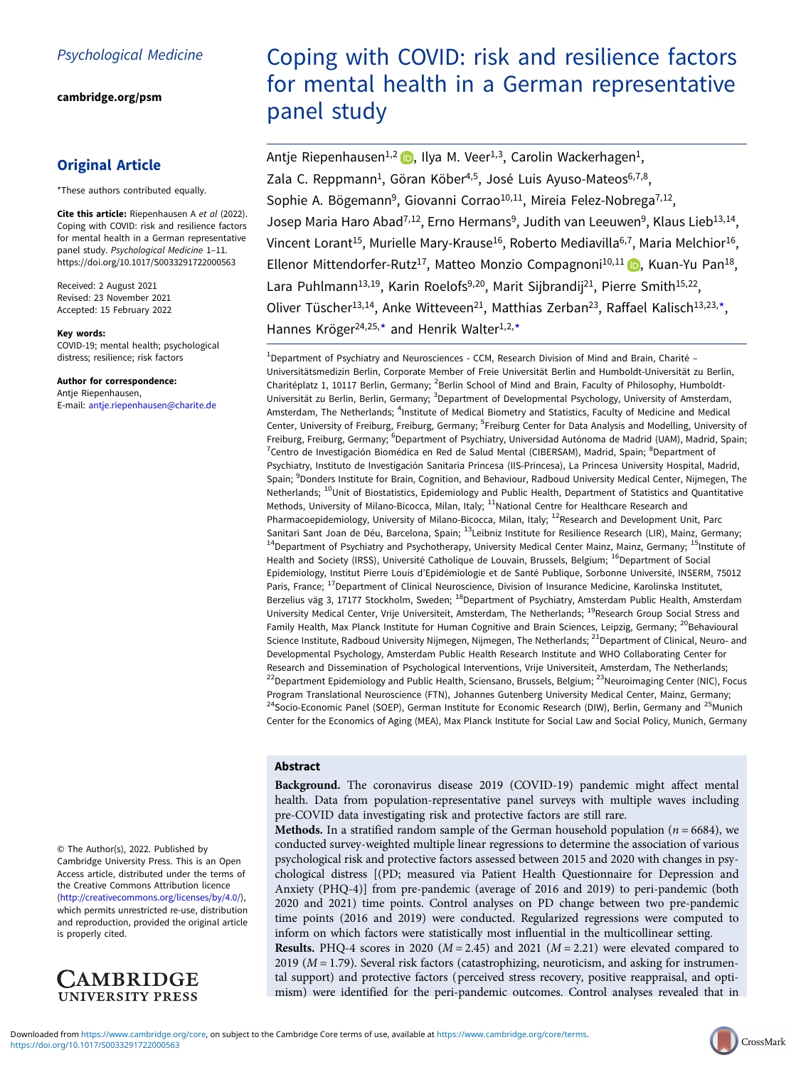[cambridge.org/psm](https://www.cambridge.org/psm)

# Original Article

\*These authors contributed equally.

Cite this article: Riepenhausen A et al (2022). Coping with COVID: risk and resilience factors for mental health in a German representative panel study. Psychological Medicine 1–11. <https://doi.org/10.1017/S0033291722000563>

Received: 2 August 2021 Revised: 23 November 2021 Accepted: 15 February 2022

#### Key words:

COVID-19; mental health; psychological distress; resilience; risk factors

## Author for correspondence:

Antje Riepenhausen, E-mail: [antje.riepenhausen@charite.de](mailto:antje.riepenhausen@charite.de)

© The Author(s), 2022. Published by Cambridge University Press. This is an Open Access article, distributed under the terms of the Creative Commons Attribution licence ([http://creativecommons.org/licenses/by/4.0/\)](http://creativecommons.org/licenses/by/4.0/), which permits unrestricted re-use, distribution and reproduction, provided the original article is properly cited.



# Coping with COVID: risk and resilience factors for mental health in a German representative panel study

Antje Riepenhausen<sup>1,2</sup> (b), Ilya M. Veer<sup>1,3</sup>, Carolin Wackerhagen<sup>1</sup>, Zala C. Reppmann<sup>1</sup>, Göran Köber<sup>4,5</sup>, José Luis Ayuso-Mateos<sup>6,7,8</sup>, Sophie A. Bögemann<sup>9</sup>, Giovanni Corrao<sup>10,11</sup>, Mireia Felez-Nobrega<sup>7,12</sup>, Josep Maria Haro Abad<sup>7,12</sup>, Erno Hermans<sup>9</sup>, Judith van Leeuwen<sup>9</sup>, Klaus Lieb<sup>13,14</sup>, Vincent Lorant<sup>15</sup>, Murielle Mary-Krause<sup>16</sup>, Roberto Mediavilla<sup>6,7</sup>, Maria Melchior<sup>16</sup>, Ellenor Mittendorfer-Rutz<sup>17</sup>, Matteo Monzio Compagnoni<sup>10,11</sup>  $\bullet$ , Kuan-Yu Pan<sup>18</sup>, Lara Puhlmann<sup>13,19</sup>, Karin Roelofs<sup>9,20</sup>, Marit Sijbrandij<sup>21</sup>, Pierre Smith<sup>15,22</sup>, Oliver Tüscher<sup>13,14</sup>, Anke Witteveen<sup>21</sup>, Matthias Zerban<sup>23</sup>, Raffael Kalisch<sup>13,23,\*</sup>, Hannes Kröger<sup>24,25,\*</sup> and Henrik Walter<sup>1,2,\*</sup>

<sup>1</sup>Department of Psychiatry and Neurosciences - CCM, Research Division of Mind and Brain, Charité -Universitätsmedizin Berlin, Corporate Member of Freie Universität Berlin and Humboldt-Universität zu Berlin, Charitéplatz 1, 10117 Berlin, Germany; <sup>2</sup>Berlin School of Mind and Brain, Faculty of Philosophy, Humboldt-Universität zu Berlin, Berlin, Germany; <sup>3</sup>Department of Developmental Psychology, University of Amsterdam, Amsterdam, The Netherlands; <sup>4</sup>Institute of Medical Biometry and Statistics, Faculty of Medicine and Medical Center, University of Freiburg, Freiburg, Germany; <sup>5</sup>Freiburg Center for Data Analysis and Modelling, University of Freiburg, Freiburg, Germany; <sup>6</sup>Department of Psychiatry, Universidad Autónoma de Madrid (UAM), Madrid, Spain; 7Centro de Investigación Biomédica en Red de Salud Mental (CIBERSAM), Madrid, Spain; <sup>8</sup>Department of Psychiatry, Instituto de Investigación Sanitaria Princesa (IIS-Princesa), La Princesa University Hospital, Madrid, Spain; <sup>9</sup>Donders Institute for Brain, Cognition, and Behaviour, Radboud University Medical Center, Nijmegen, The Netherlands; <sup>10</sup>Unit of Biostatistics, Epidemiology and Public Health, Department of Statistics and Quantitative Methods, University of Milano-Bicocca, Milan, Italy; <sup>11</sup>National Centre for Healthcare Research and Pharmacoepidemiology, University of Milano-Bicocca, Milan, Italy; <sup>12</sup>Research and Development Unit, Parc Sanitari Sant Joan de Déu, Barcelona, Spain; <sup>13</sup>Leibniz Institute for Resilience Research (LIR), Mainz, Germany; <sup>14</sup>Department of Psychiatry and Psychotherapy, University Medical Center Mainz, Mainz, Germany; <sup>15</sup>Institute of Health and Society (IRSS), Université Catholique de Louvain, Brussels, Belgium; <sup>16</sup>Department of Social Epidemiology, Institut Pierre Louis d'Epidémiologie et de Santé Publique, Sorbonne Université, INSERM, 75012 Paris, France; <sup>17</sup>Department of Clinical Neuroscience, Division of Insurance Medicine, Karolinska Institutet, Berzelius väg 3, 17177 Stockholm, Sweden; <sup>18</sup>Department of Psychiatry, Amsterdam Public Health, Amsterdam University Medical Center, Vrije Universiteit, Amsterdam, The Netherlands; <sup>19</sup>Research Group Social Stress and Family Health, Max Planck Institute for Human Cognitive and Brain Sciences, Leipzig, Germany; <sup>20</sup>Behavioural Science Institute, Radboud University Nijmegen, Nijmegen, The Netherlands; <sup>21</sup>Department of Clinical, Neuro- and Developmental Psychology, Amsterdam Public Health Research Institute and WHO Collaborating Center for Research and Dissemination of Psychological Interventions, Vrije Universiteit, Amsterdam, The Netherlands; <sup>22</sup>Department Epidemiology and Public Health, Sciensano, Brussels, Belgium; <sup>23</sup>Neuroimaging Center (NIC), Focus Program Translational Neuroscience (FTN), Johannes Gutenberg University Medical Center, Mainz, Germany; <sup>24</sup>Socio-Economic Panel (SOEP), German Institute for Economic Research (DIW), Berlin, Germany and <sup>25</sup>Munich Center for the Economics of Aging (MEA), Max Planck Institute for Social Law and Social Policy, Munich, Germany

## Abstract

Background. The coronavirus disease 2019 (COVID-19) pandemic might affect mental health. Data from population-representative panel surveys with multiple waves including pre-COVID data investigating risk and protective factors are still rare.

**Methods.** In a stratified random sample of the German household population ( $n = 6684$ ), we conducted survey-weighted multiple linear regressions to determine the association of various psychological risk and protective factors assessed between 2015 and 2020 with changes in psychological distress [(PD; measured via Patient Health Questionnaire for Depression and Anxiety (PHQ-4)] from pre-pandemic (average of 2016 and 2019) to peri-pandemic (both 2020 and 2021) time points. Control analyses on PD change between two pre-pandemic time points (2016 and 2019) were conducted. Regularized regressions were computed to inform on which factors were statistically most influential in the multicollinear setting. **Results.** PHQ-4 scores in 2020 ( $M = 2.45$ ) and 2021 ( $M = 2.21$ ) were elevated compared to 2019 ( $M = 1.79$ ). Several risk factors (catastrophizing, neuroticism, and asking for instrumental support) and protective factors (perceived stress recovery, positive reappraisal, and optimism) were identified for the peri-pandemic outcomes. Control analyses revealed that in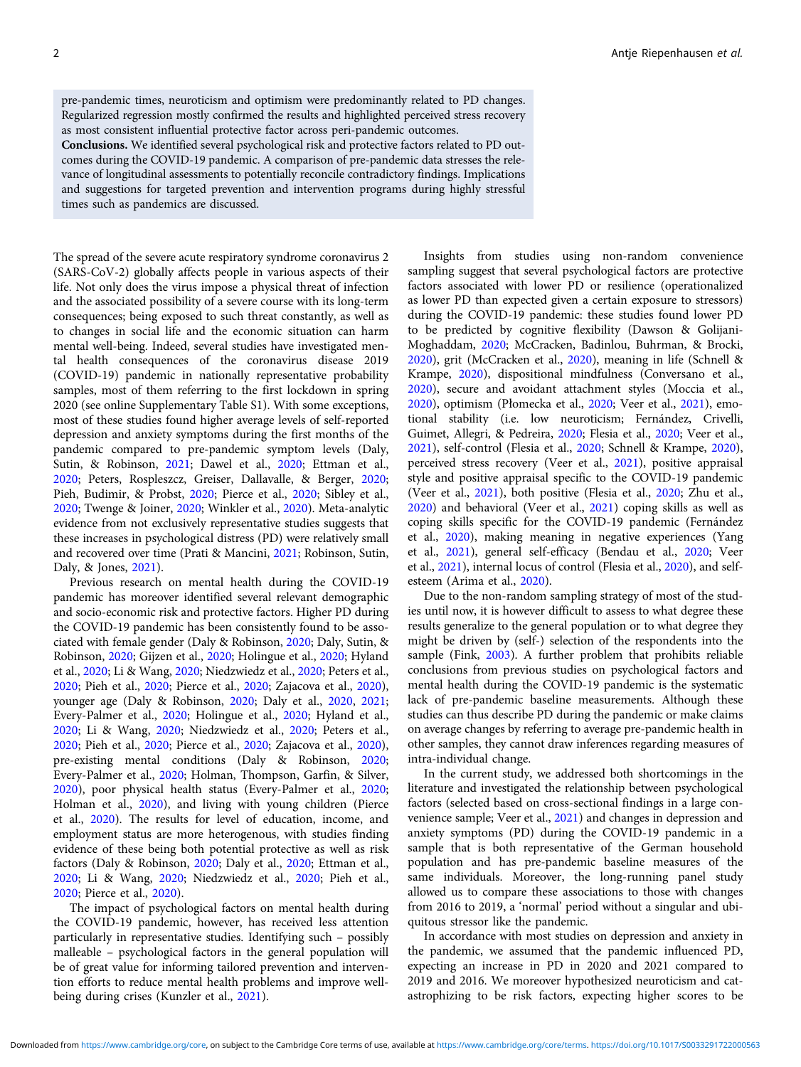pre-pandemic times, neuroticism and optimism were predominantly related to PD changes. Regularized regression mostly confirmed the results and highlighted perceived stress recovery as most consistent influential protective factor across peri-pandemic outcomes.

Conclusions. We identified several psychological risk and protective factors related to PD outcomes during the COVID-19 pandemic. A comparison of pre-pandemic data stresses the relevance of longitudinal assessments to potentially reconcile contradictory findings. Implications and suggestions for targeted prevention and intervention programs during highly stressful times such as pandemics are discussed.

The spread of the severe acute respiratory syndrome coronavirus 2 (SARS-CoV-2) globally affects people in various aspects of their life. Not only does the virus impose a physical threat of infection and the associated possibility of a severe course with its long-term consequences; being exposed to such threat constantly, as well as to changes in social life and the economic situation can harm mental well-being. Indeed, several studies have investigated mental health consequences of the coronavirus disease 2019 (COVID-19) pandemic in nationally representative probability samples, most of them referring to the first lockdown in spring 2020 (see online Supplementary Table S1). With some exceptions, most of these studies found higher average levels of self-reported depression and anxiety symptoms during the first months of the pandemic compared to pre-pandemic symptom levels (Daly, Sutin, & Robinson, [2021](#page-9-0); Dawel et al., [2020;](#page-9-0) Ettman et al., [2020;](#page-9-0) Peters, Rospleszcz, Greiser, Dallavalle, & Berger, [2020](#page-10-0); Pieh, Budimir, & Probst, [2020](#page-10-0); Pierce et al., [2020;](#page-10-0) Sibley et al., [2020;](#page-10-0) Twenge & Joiner, [2020;](#page-10-0) Winkler et al., [2020\)](#page-10-0). Meta-analytic evidence from not exclusively representative studies suggests that these increases in psychological distress (PD) were relatively small and recovered over time (Prati & Mancini, [2021;](#page-10-0) Robinson, Sutin, Daly, & Jones, [2021](#page-10-0)).

Previous research on mental health during the COVID-19 pandemic has moreover identified several relevant demographic and socio-economic risk and protective factors. Higher PD during the COVID-19 pandemic has been consistently found to be associated with female gender (Daly & Robinson, [2020](#page-9-0); Daly, Sutin, & Robinson, [2020;](#page-9-0) Gijzen et al., [2020](#page-9-0); Holingue et al., [2020](#page-9-0); Hyland et al., [2020](#page-9-0); Li & Wang, [2020](#page-9-0); Niedzwiedz et al., [2020;](#page-10-0) Peters et al., [2020;](#page-10-0) Pieh et al., [2020;](#page-10-0) Pierce et al., [2020;](#page-10-0) Zajacova et al., [2020\)](#page-10-0), younger age (Daly & Robinson, [2020](#page-9-0); Daly et al., [2020](#page-9-0), [2021](#page-9-0); Every-Palmer et al., [2020](#page-9-0); Holingue et al., [2020;](#page-9-0) Hyland et al., [2020;](#page-9-0) Li & Wang, [2020](#page-9-0); Niedzwiedz et al., [2020;](#page-10-0) Peters et al., [2020;](#page-10-0) Pieh et al., [2020;](#page-10-0) Pierce et al., [2020;](#page-10-0) Zajacova et al., [2020\)](#page-10-0), pre-existing mental conditions (Daly & Robinson, [2020](#page-9-0); Every-Palmer et al., [2020;](#page-9-0) Holman, Thompson, Garfin, & Silver, [2020\)](#page-9-0), poor physical health status (Every-Palmer et al., [2020](#page-9-0); Holman et al., [2020](#page-9-0)), and living with young children (Pierce et al., [2020](#page-10-0)). The results for level of education, income, and employment status are more heterogenous, with studies finding evidence of these being both potential protective as well as risk factors (Daly & Robinson, [2020;](#page-9-0) Daly et al., [2020](#page-9-0); Ettman et al., [2020;](#page-9-0) Li & Wang, [2020;](#page-9-0) Niedzwiedz et al., [2020](#page-10-0); Pieh et al., [2020;](#page-10-0) Pierce et al., [2020](#page-10-0)).

The impact of psychological factors on mental health during the COVID-19 pandemic, however, has received less attention particularly in representative studies. Identifying such – possibly malleable – psychological factors in the general population will be of great value for informing tailored prevention and intervention efforts to reduce mental health problems and improve wellbeing during crises (Kunzler et al., [2021\)](#page-9-0).

Insights from studies using non-random convenience sampling suggest that several psychological factors are protective factors associated with lower PD or resilience (operationalized as lower PD than expected given a certain exposure to stressors) during the COVID-19 pandemic: these studies found lower PD to be predicted by cognitive flexibility (Dawson & Golijani-Moghaddam, [2020](#page-9-0); McCracken, Badinlou, Buhrman, & Brocki, [2020\)](#page-10-0), grit (McCracken et al., [2020](#page-10-0)), meaning in life (Schnell & Krampe, [2020](#page-10-0)), dispositional mindfulness (Conversano et al., [2020\)](#page-9-0), secure and avoidant attachment styles (Moccia et al., [2020\)](#page-10-0), optimism (Płomecka et al., [2020;](#page-10-0) Veer et al., [2021](#page-10-0)), emotional stability (i.e. low neuroticism; Fernández, Crivelli, Guimet, Allegri, & Pedreira, [2020](#page-9-0); Flesia et al., [2020;](#page-9-0) Veer et al., [2021\)](#page-10-0), self-control (Flesia et al., [2020](#page-9-0); Schnell & Krampe, [2020](#page-10-0)), perceived stress recovery (Veer et al., [2021](#page-10-0)), positive appraisal style and positive appraisal specific to the COVID-19 pandemic (Veer et al., [2021](#page-10-0)), both positive (Flesia et al., [2020](#page-9-0); Zhu et al., [2020\)](#page-10-0) and behavioral (Veer et al., [2021\)](#page-10-0) coping skills as well as coping skills specific for the COVID-19 pandemic (Fernández et al., [2020\)](#page-9-0), making meaning in negative experiences (Yang et al., [2021](#page-10-0)), general self-efficacy (Bendau et al., [2020](#page-8-0); Veer et al., [2021\)](#page-10-0), internal locus of control (Flesia et al., [2020](#page-9-0)), and selfesteem (Arima et al., [2020](#page-8-0)).

Due to the non-random sampling strategy of most of the studies until now, it is however difficult to assess to what degree these results generalize to the general population or to what degree they might be driven by (self-) selection of the respondents into the sample (Fink, [2003\)](#page-9-0). A further problem that prohibits reliable conclusions from previous studies on psychological factors and mental health during the COVID-19 pandemic is the systematic lack of pre-pandemic baseline measurements. Although these studies can thus describe PD during the pandemic or make claims on average changes by referring to average pre-pandemic health in other samples, they cannot draw inferences regarding measures of intra-individual change.

In the current study, we addressed both shortcomings in the literature and investigated the relationship between psychological factors (selected based on cross-sectional findings in a large convenience sample; Veer et al., [2021\)](#page-10-0) and changes in depression and anxiety symptoms (PD) during the COVID-19 pandemic in a sample that is both representative of the German household population and has pre-pandemic baseline measures of the same individuals. Moreover, the long-running panel study allowed us to compare these associations to those with changes from 2016 to 2019, a 'normal' period without a singular and ubiquitous stressor like the pandemic.

In accordance with most studies on depression and anxiety in the pandemic, we assumed that the pandemic influenced PD, expecting an increase in PD in 2020 and 2021 compared to 2019 and 2016. We moreover hypothesized neuroticism and catastrophizing to be risk factors, expecting higher scores to be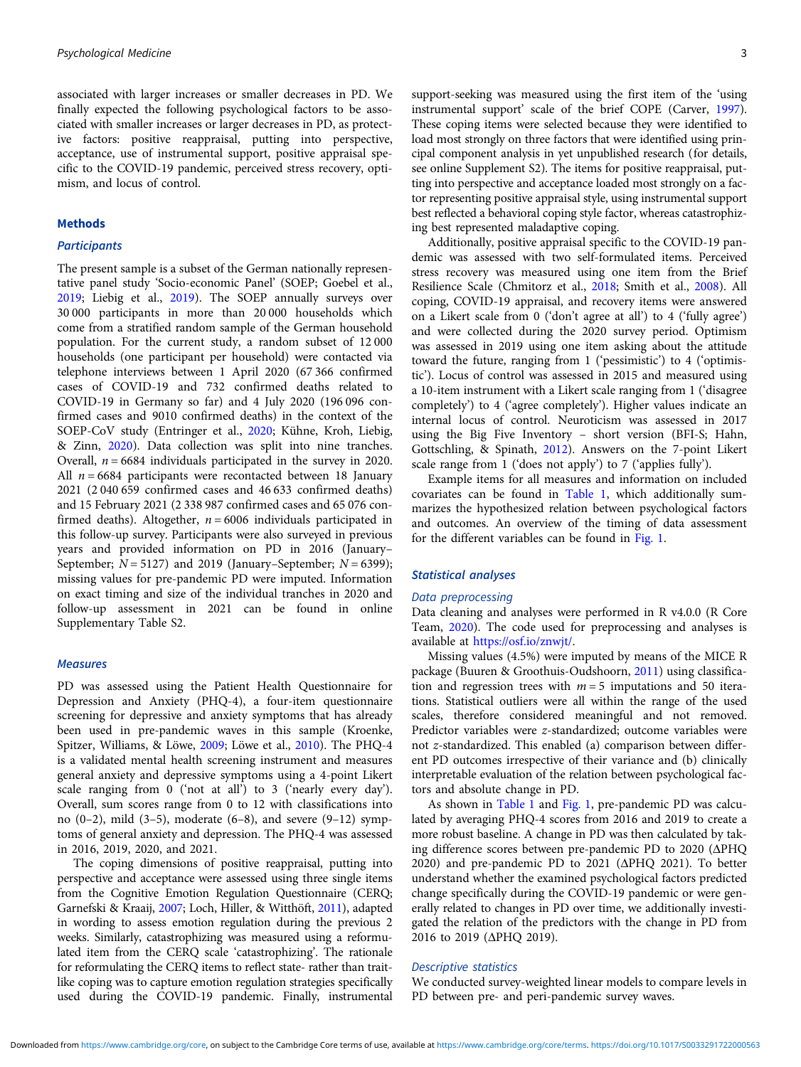associated with larger increases or smaller decreases in PD. We finally expected the following psychological factors to be associated with smaller increases or larger decreases in PD, as protective factors: positive reappraisal, putting into perspective, acceptance, use of instrumental support, positive appraisal specific to the COVID-19 pandemic, perceived stress recovery, optimism, and locus of control.

#### Methods

## **Participants**

The present sample is a subset of the German nationally representative panel study 'Socio-economic Panel' (SOEP; Goebel et al., [2019;](#page-9-0) Liebig et al., [2019\)](#page-9-0). The SOEP annually surveys over 30 000 participants in more than 20 000 households which come from a stratified random sample of the German household population. For the current study, a random subset of 12 000 households (one participant per household) were contacted via telephone interviews between 1 April 2020 (67 366 confirmed cases of COVID-19 and 732 confirmed deaths related to COVID-19 in Germany so far) and 4 July 2020 (196 096 confirmed cases and 9010 confirmed deaths) in the context of the SOEP-CoV study (Entringer et al., [2020;](#page-9-0) Kühne, Kroh, Liebig, & Zinn, [2020\)](#page-9-0). Data collection was split into nine tranches. Overall,  $n = 6684$  individuals participated in the survey in 2020. All  $n = 6684$  participants were recontacted between 18 January 2021 (2 040 659 confirmed cases and 46 633 confirmed deaths) and 15 February 2021 (2 338 987 confirmed cases and 65 076 confirmed deaths). Altogether,  $n = 6006$  individuals participated in this follow-up survey. Participants were also surveyed in previous years and provided information on PD in 2016 (January– September;  $N = 5127$ ) and 2019 (January–September;  $N = 6399$ ); missing values for pre-pandemic PD were imputed. Information on exact timing and size of the individual tranches in 2020 and follow-up assessment in 2021 can be found in online Supplementary Table S2.

### **Measures**

PD was assessed using the Patient Health Questionnaire for Depression and Anxiety (PHQ-4), a four-item questionnaire screening for depressive and anxiety symptoms that has already been used in pre-pandemic waves in this sample (Kroenke, Spitzer, Williams, & Löwe, [2009;](#page-9-0) Löwe et al., [2010\)](#page-9-0). The PHQ-4 is a validated mental health screening instrument and measures general anxiety and depressive symptoms using a 4-point Likert scale ranging from 0 ('not at all') to 3 ('nearly every day'). Overall, sum scores range from 0 to 12 with classifications into no  $(0-2)$ , mild  $(3-5)$ , moderate  $(6-8)$ , and severe  $(9-12)$  symptoms of general anxiety and depression. The PHQ-4 was assessed in 2016, 2019, 2020, and 2021.

The coping dimensions of positive reappraisal, putting into perspective and acceptance were assessed using three single items from the Cognitive Emotion Regulation Questionnaire (CERQ; Garnefski & Kraaij, [2007;](#page-9-0) Loch, Hiller, & Witthöft, [2011](#page-9-0)), adapted in wording to assess emotion regulation during the previous 2 weeks. Similarly, catastrophizing was measured using a reformulated item from the CERQ scale 'catastrophizing'. The rationale for reformulating the CERQ items to reflect state- rather than traitlike coping was to capture emotion regulation strategies specifically used during the COVID-19 pandemic. Finally, instrumental support-seeking was measured using the first item of the 'using instrumental support' scale of the brief COPE (Carver, [1997](#page-8-0)). These coping items were selected because they were identified to load most strongly on three factors that were identified using principal component analysis in yet unpublished research (for details, see online Supplement S2). The items for positive reappraisal, putting into perspective and acceptance loaded most strongly on a factor representing positive appraisal style, using instrumental support best reflected a behavioral coping style factor, whereas catastrophizing best represented maladaptive coping.

Additionally, positive appraisal specific to the COVID-19 pandemic was assessed with two self-formulated items. Perceived stress recovery was measured using one item from the Brief Resilience Scale (Chmitorz et al., [2018](#page-8-0); Smith et al., [2008\)](#page-10-0). All coping, COVID-19 appraisal, and recovery items were answered on a Likert scale from 0 ('don't agree at all') to 4 ('fully agree') and were collected during the 2020 survey period. Optimism was assessed in 2019 using one item asking about the attitude toward the future, ranging from 1 ('pessimistic') to 4 ('optimistic'). Locus of control was assessed in 2015 and measured using a 10-item instrument with a Likert scale ranging from 1 ('disagree completely') to 4 ('agree completely'). Higher values indicate an internal locus of control. Neuroticism was assessed in 2017 using the Big Five Inventory – short version (BFI-S; Hahn, Gottschling, & Spinath, [2012](#page-9-0)). Answers on the 7-point Likert scale range from 1 ('does not apply') to 7 ('applies fully').

Example items for all measures and information on included covariates can be found in [Table 1](#page-3-0), which additionally summarizes the hypothesized relation between psychological factors and outcomes. An overview of the timing of data assessment for the different variables can be found in [Fig. 1.](#page-4-0)

## Statistical analyses

## Data preprocessing

Data cleaning and analyses were performed in R v4.0.0 (R Core Team, [2020](#page-10-0)). The code used for preprocessing and analyses is available at [https://osf.io/znwjt/.](https://osf.io/znwjt/)

Missing values (4.5%) were imputed by means of the MICE R package (Buuren & Groothuis-Oudshoorn, [2011](#page-8-0)) using classification and regression trees with  $m = 5$  imputations and 50 iterations. Statistical outliers were all within the range of the used scales, therefore considered meaningful and not removed. Predictor variables were z-standardized; outcome variables were not z-standardized. This enabled (a) comparison between different PD outcomes irrespective of their variance and (b) clinically interpretable evaluation of the relation between psychological factors and absolute change in PD.

As shown in [Table 1](#page-3-0) and [Fig. 1,](#page-4-0) pre-pandemic PD was calculated by averaging PHQ-4 scores from 2016 and 2019 to create a more robust baseline. A change in PD was then calculated by taking difference scores between pre-pandemic PD to 2020 (ΔPHQ 2020) and pre-pandemic PD to 2021 (ΔPHQ 2021). To better understand whether the examined psychological factors predicted change specifically during the COVID-19 pandemic or were generally related to changes in PD over time, we additionally investigated the relation of the predictors with the change in PD from 2016 to 2019 (ΔPHQ 2019).

## Descriptive statistics

We conducted survey-weighted linear models to compare levels in PD between pre- and peri-pandemic survey waves.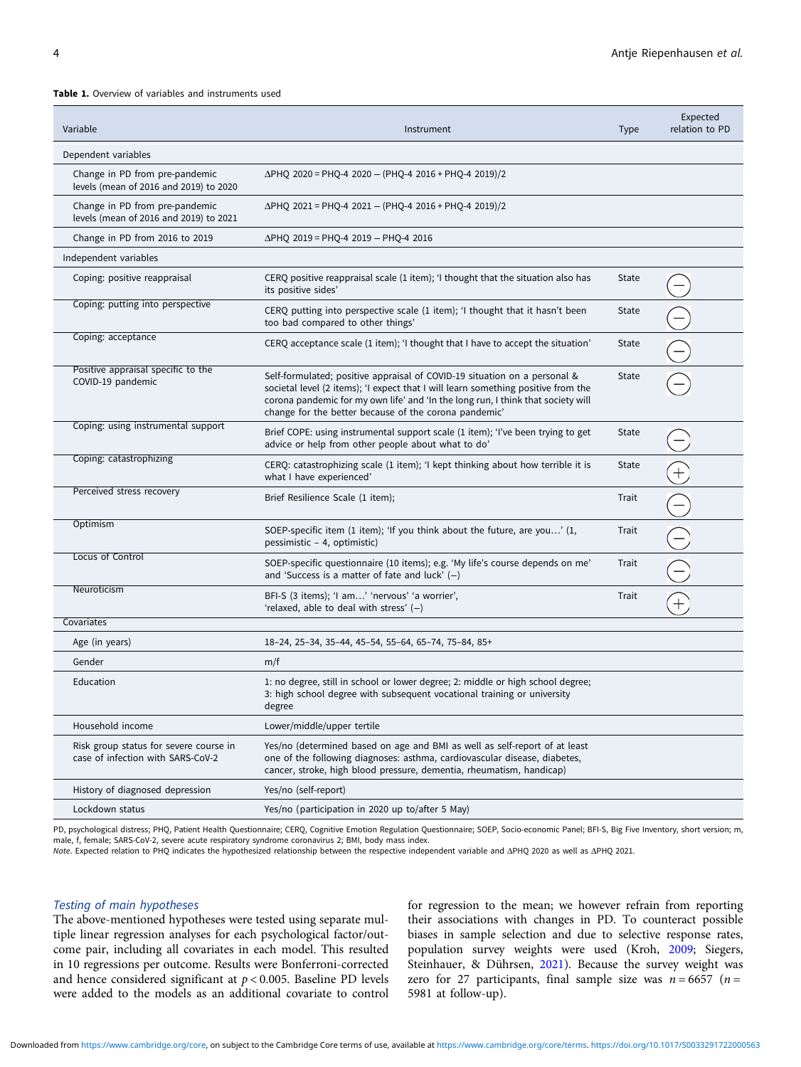#### <span id="page-3-0"></span>Table 1. Overview of variables and instruments used

| Variable                                                                    | Instrument                                                                                                                                                                                                                                                                                                  | <b>Type</b> | Expected<br>relation to PD |
|-----------------------------------------------------------------------------|-------------------------------------------------------------------------------------------------------------------------------------------------------------------------------------------------------------------------------------------------------------------------------------------------------------|-------------|----------------------------|
| Dependent variables                                                         |                                                                                                                                                                                                                                                                                                             |             |                            |
| Change in PD from pre-pandemic<br>levels (mean of 2016 and 2019) to 2020    | $\Delta$ PHQ 2020 = PHQ-4 2020 - (PHQ-4 2016 + PHQ-4 2019)/2                                                                                                                                                                                                                                                |             |                            |
| Change in PD from pre-pandemic<br>levels (mean of 2016 and 2019) to 2021    | $\Delta$ PHQ 2021 = PHQ-4 2021 - (PHQ-4 2016 + PHQ-4 2019)/2                                                                                                                                                                                                                                                |             |                            |
| Change in PD from 2016 to 2019                                              | ∆PHQ 2019 = PHQ-4 2019 - PHQ-4 2016                                                                                                                                                                                                                                                                         |             |                            |
| Independent variables                                                       |                                                                                                                                                                                                                                                                                                             |             |                            |
| Coping: positive reappraisal                                                | CERQ positive reappraisal scale (1 item); 'I thought that the situation also has<br>its positive sides'                                                                                                                                                                                                     | State       |                            |
| Coping: putting into perspective                                            | CERQ putting into perspective scale (1 item); 'I thought that it hasn't been<br>too bad compared to other things'                                                                                                                                                                                           | State       |                            |
| Coping: acceptance                                                          | CERQ acceptance scale (1 item); 'I thought that I have to accept the situation'                                                                                                                                                                                                                             | State       |                            |
| Positive appraisal specific to the<br>COVID-19 pandemic                     | Self-formulated; positive appraisal of COVID-19 situation on a personal &<br>societal level (2 items); 'I expect that I will learn something positive from the<br>corona pandemic for my own life' and 'In the long run, I think that society will<br>change for the better because of the corona pandemic' | State       |                            |
| Coping: using instrumental support                                          | Brief COPE: using instrumental support scale (1 item); 'I've been trying to get<br>advice or help from other people about what to do'                                                                                                                                                                       | State       |                            |
| Coping: catastrophizing                                                     | CERQ: catastrophizing scale (1 item); 'I kept thinking about how terrible it is<br>what I have experienced'                                                                                                                                                                                                 | State       |                            |
| Perceived stress recovery                                                   | Brief Resilience Scale (1 item);                                                                                                                                                                                                                                                                            | Trait       |                            |
| Optimism                                                                    | SOEP-specific item (1 item); 'If you think about the future, are you' (1,<br>pessimistic - 4, optimistic)                                                                                                                                                                                                   | Trait       |                            |
| Locus of Control                                                            | SOEP-specific questionnaire (10 items); e.g. 'My life's course depends on me'<br>and 'Success is a matter of fate and luck' $(-)$                                                                                                                                                                           | Trait       |                            |
| Neuroticism                                                                 | BFI-S (3 items); 'I am' 'nervous' 'a worrier',<br>'relaxed, able to deal with stress' $(-)$                                                                                                                                                                                                                 | Trait       |                            |
| Covariates                                                                  |                                                                                                                                                                                                                                                                                                             |             |                            |
| Age (in years)                                                              | 18-24, 25-34, 35-44, 45-54, 55-64, 65-74, 75-84, 85+                                                                                                                                                                                                                                                        |             |                            |
| Gender                                                                      | m/f                                                                                                                                                                                                                                                                                                         |             |                            |
| Education                                                                   | 1: no degree, still in school or lower degree; 2: middle or high school degree;<br>3: high school degree with subsequent vocational training or university<br>degree                                                                                                                                        |             |                            |
| Household income                                                            | Lower/middle/upper tertile                                                                                                                                                                                                                                                                                  |             |                            |
| Risk group status for severe course in<br>case of infection with SARS-CoV-2 | Yes/no (determined based on age and BMI as well as self-report of at least<br>one of the following diagnoses: asthma, cardiovascular disease, diabetes,<br>cancer, stroke, high blood pressure, dementia, rheumatism, handicap)                                                                             |             |                            |
| History of diagnosed depression                                             | Yes/no (self-report)                                                                                                                                                                                                                                                                                        |             |                            |
| Lockdown status                                                             | Yes/no (participation in 2020 up to/after 5 May)                                                                                                                                                                                                                                                            |             |                            |

PD, psychological distress; PHO, Patient Health Questionnaire; CERQ, Cognitive Emotion Regulation Questionnaire; SOEP, Socio-economic Panel; BFI-S, Big Five Inventory, short version; m, male, f, female; SARS-CoV-2, severe acute respiratory syndrome coronavirus 2; BMI, body mass index.

Note. Expected relation to PHQ indicates the hypothesized relationship between the respective independent variable and ΔPHQ 2020 as well as ΔPHQ 2021.

### Testing of main hypotheses

The above-mentioned hypotheses were tested using separate multiple linear regression analyses for each psychological factor/outcome pair, including all covariates in each model. This resulted in 10 regressions per outcome. Results were Bonferroni-corrected and hence considered significant at  $p < 0.005$ . Baseline PD levels were added to the models as an additional covariate to control

for regression to the mean; we however refrain from reporting their associations with changes in PD. To counteract possible biases in sample selection and due to selective response rates, population survey weights were used (Kroh, [2009;](#page-9-0) Siegers, Steinhauer, & Dührsen, [2021\)](#page-10-0). Because the survey weight was zero for 27 participants, final sample size was  $n = 6657$  ( $n =$ 5981 at follow-up).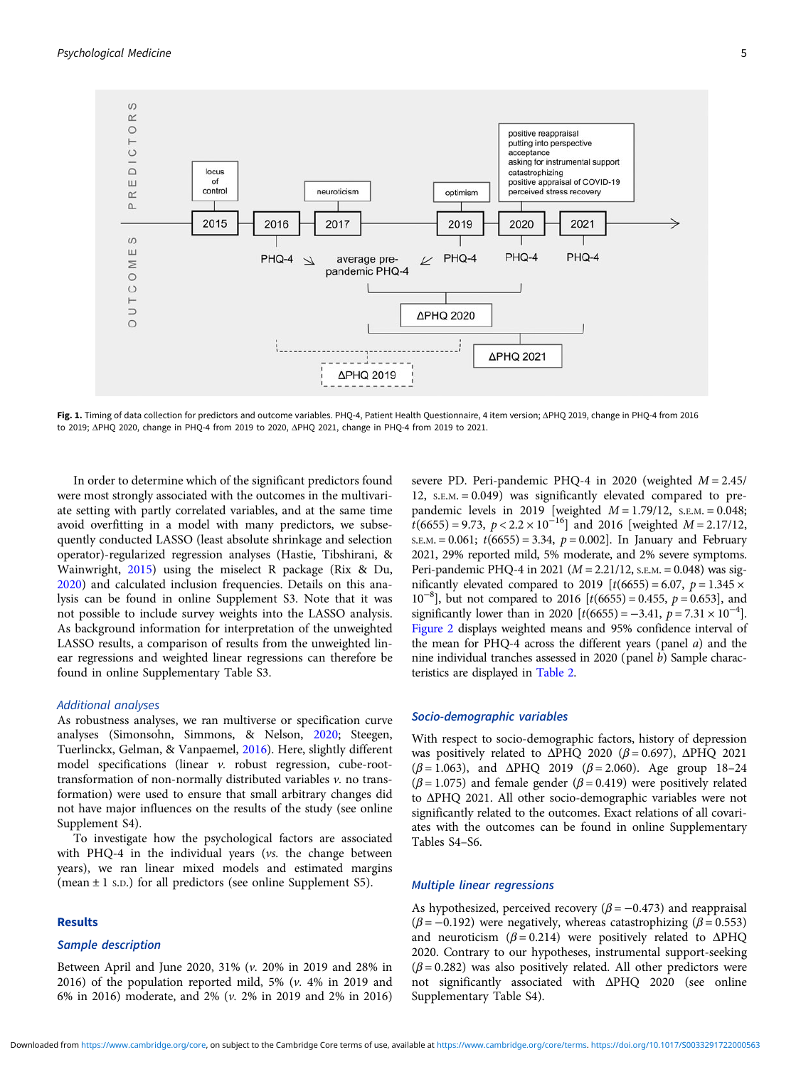<span id="page-4-0"></span>

Fig. 1. Timing of data collection for predictors and outcome variables. PHQ-4, Patient Health Questionnaire, 4 item version; ΔPHQ 2019, change in PHQ-4 from 2016 to 2019; ΔPHQ 2020, change in PHQ-4 from 2019 to 2020, ΔPHQ 2021, change in PHQ-4 from 2019 to 2021.

In order to determine which of the significant predictors found were most strongly associated with the outcomes in the multivariate setting with partly correlated variables, and at the same time avoid overfitting in a model with many predictors, we subsequently conducted LASSO (least absolute shrinkage and selection operator)-regularized regression analyses (Hastie, Tibshirani, & Wainwright, [2015](#page-9-0)) using the miselect R package (Rix & Du, [2020\)](#page-10-0) and calculated inclusion frequencies. Details on this analysis can be found in online Supplement S3. Note that it was not possible to include survey weights into the LASSO analysis. As background information for interpretation of the unweighted LASSO results, a comparison of results from the unweighted linear regressions and weighted linear regressions can therefore be found in online Supplementary Table S3.

#### Additional analyses

As robustness analyses, we ran multiverse or specification curve analyses (Simonsohn, Simmons, & Nelson, [2020](#page-10-0); Steegen, Tuerlinckx, Gelman, & Vanpaemel, [2016\)](#page-10-0). Here, slightly different model specifications (linear v. robust regression, cube-roottransformation of non-normally distributed variables v. no transformation) were used to ensure that small arbitrary changes did not have major influences on the results of the study (see online Supplement S4).

To investigate how the psychological factors are associated with PHQ-4 in the individual years (vs. the change between years), we ran linear mixed models and estimated margins (mean  $\pm$  1 s.p.) for all predictors (see online Supplement S5).

## Results

#### Sample description

Between April and June 2020, 31% (v. 20% in 2019 and 28% in 2016) of the population reported mild, 5% (v. 4% in 2019 and 6% in 2016) moderate, and 2% (v. 2% in 2019 and 2% in 2016)

severe PD. Peri-pandemic PHQ-4 in 2020 (weighted  $M = 2.45$ / 12, S.E.M. = 0.049) was significantly elevated compared to prepandemic levels in 2019 [weighted  $M = 1.79/12$ , S.E.M. = 0.048;  $t(6655) = 9.73$ ,  $p < 2.2 \times 10^{-16}$ ] and 2016 [weighted  $M = 2.17/12$ ,  $S.E.M. = 0.061$ ;  $t(6655) = 3.34$ ,  $p = 0.002$ ]. In January and February 2021, 29% reported mild, 5% moderate, and 2% severe symptoms. Peri-pandemic PHQ-4 in 2021 ( $M = 2.21/12$ , s.e.m. = 0.048) was significantly elevated compared to 2019  $[t(6655) = 6.07, p = 1.345 \times$  $10^{-8}$ ], but not compared to 2016 [t(6655) = 0.455,  $p = 0.653$ ], and significantly lower than in 2020  $[t(6655) = -3.41, p = 7.31 \times 10^{-4}]$ . [Figure 2](#page-5-0) displays weighted means and 95% confidence interval of the mean for PHQ-4 across the different years (panel a) and the nine individual tranches assessed in 2020 (panel b) Sample characteristics are displayed in [Table 2.](#page-6-0)

#### Socio-demographic variables

With respect to socio-demographic factors, history of depression was positively related to  $\triangle PHQ$  2020 ( $\beta = 0.697$ ),  $\triangle PHQ$  2021 ( $β = 1.063$ ), and ΔPHQ 2019 ( $β = 2.060$ ). Age group 18-24 ( $\beta$  = 1.075) and female gender ( $\beta$  = 0.419) were positively related to ΔPHQ 2021. All other socio-demographic variables were not significantly related to the outcomes. Exact relations of all covariates with the outcomes can be found in online Supplementary Tables S4–S6.

### Multiple linear regressions

As hypothesized, perceived recovery  $(\beta = -0.473)$  and reappraisal ( $\beta$  = -0.192) were negatively, whereas catastrophizing ( $\beta$  = 0.553) and neuroticism ( $β = 0.214$ ) were positively related to ΔPHQ 2020. Contrary to our hypotheses, instrumental support-seeking  $(\beta = 0.282)$  was also positively related. All other predictors were not significantly associated with ΔPHQ 2020 (see online Supplementary Table S4).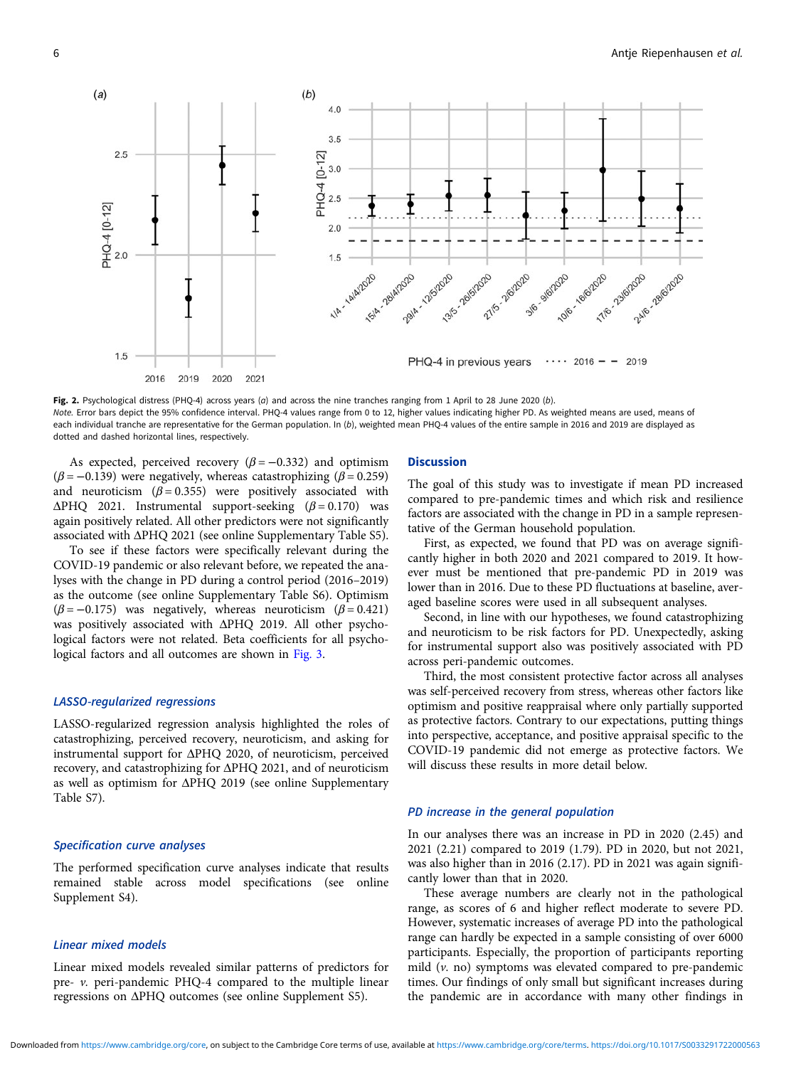<span id="page-5-0"></span>

Fig. 2. Psychological distress (PHQ-4) across years ( $a$ ) and across the nine tranches ranging from 1 April to 28 June 2020 ( $b$ ). Note. Error bars depict the 95% confidence interval. PHQ-4 values range from 0 to 12, higher values indicating higher PD. As weighted means are used, means of each individual tranche are representative for the German population. In (b), weighted mean PHQ-4 values of the entire sample in 2016 and 2019 are displayed as dotted and dashed horizontal lines, respectively.

As expected, perceived recovery  $(\beta = -0.332)$  and optimism  $(\beta = -0.139)$  were negatively, whereas catastrophizing ( $\beta = 0.259$ ) and neuroticism  $(\beta = 0.355)$  were positively associated with  $\triangle PHQ$  2021. Instrumental support-seeking ( $\beta = 0.170$ ) was again positively related. All other predictors were not significantly associated with ΔPHQ 2021 (see online Supplementary Table S5).

To see if these factors were specifically relevant during the COVID-19 pandemic or also relevant before, we repeated the analyses with the change in PD during a control period (2016–2019) as the outcome (see online Supplementary Table S6). Optimism  $(\beta = -0.175)$  was negatively, whereas neuroticism  $(\beta = 0.421)$ was positively associated with ΔPHQ 2019. All other psychological factors were not related. Beta coefficients for all psycho-logical factors and all outcomes are shown in [Fig. 3.](#page-7-0)

## LASSO-regularized regressions

LASSO-regularized regression analysis highlighted the roles of catastrophizing, perceived recovery, neuroticism, and asking for instrumental support for ΔPHQ 2020, of neuroticism, perceived recovery, and catastrophizing for ΔPHQ 2021, and of neuroticism as well as optimism for ΔPHQ 2019 (see online Supplementary Table S7).

## Specification curve analyses

The performed specification curve analyses indicate that results remained stable across model specifications (see online Supplement S4).

## Linear mixed models

Linear mixed models revealed similar patterns of predictors for pre- v. peri-pandemic PHQ-4 compared to the multiple linear regressions on ΔPHQ outcomes (see online Supplement S5).

#### Discussion

The goal of this study was to investigate if mean PD increased compared to pre-pandemic times and which risk and resilience factors are associated with the change in PD in a sample representative of the German household population.

First, as expected, we found that PD was on average significantly higher in both 2020 and 2021 compared to 2019. It however must be mentioned that pre-pandemic PD in 2019 was lower than in 2016. Due to these PD fluctuations at baseline, averaged baseline scores were used in all subsequent analyses.

Second, in line with our hypotheses, we found catastrophizing and neuroticism to be risk factors for PD. Unexpectedly, asking for instrumental support also was positively associated with PD across peri-pandemic outcomes.

Third, the most consistent protective factor across all analyses was self-perceived recovery from stress, whereas other factors like optimism and positive reappraisal where only partially supported as protective factors. Contrary to our expectations, putting things into perspective, acceptance, and positive appraisal specific to the COVID-19 pandemic did not emerge as protective factors. We will discuss these results in more detail below.

## PD increase in the general population

In our analyses there was an increase in PD in 2020 (2.45) and 2021 (2.21) compared to 2019 (1.79). PD in 2020, but not 2021, was also higher than in 2016 (2.17). PD in 2021 was again significantly lower than that in 2020.

These average numbers are clearly not in the pathological range, as scores of 6 and higher reflect moderate to severe PD. However, systematic increases of average PD into the pathological range can hardly be expected in a sample consisting of over 6000 participants. Especially, the proportion of participants reporting mild  $(v. no)$  symptoms was elevated compared to pre-pandemic times. Our findings of only small but significant increases during the pandemic are in accordance with many other findings in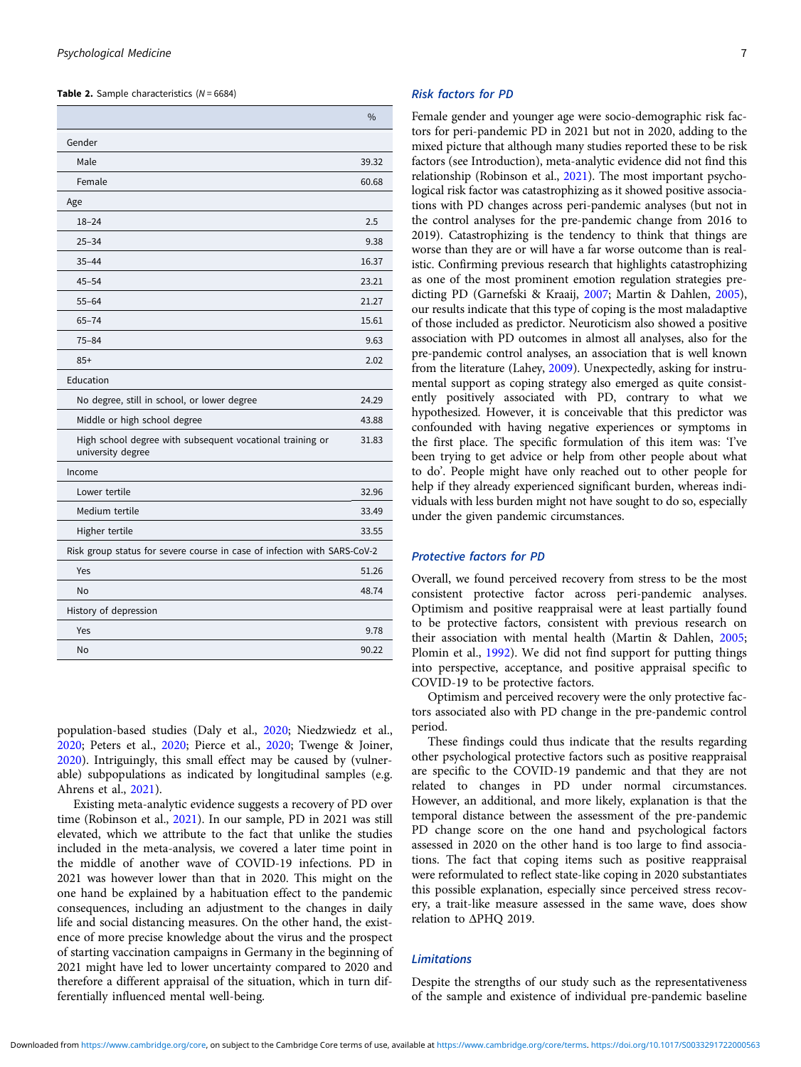<span id="page-6-0"></span>**Table 2.** Sample characteristics  $(N = 6684)$ 

|                                                                                | $\frac{0}{0}$ |  |  |
|--------------------------------------------------------------------------------|---------------|--|--|
| Gender                                                                         |               |  |  |
| Male                                                                           | 39.32         |  |  |
| Female                                                                         | 60.68         |  |  |
| Age                                                                            |               |  |  |
| $18 - 24$                                                                      | 2.5           |  |  |
| $25 - 34$                                                                      | 9.38          |  |  |
| $35 - 44$                                                                      | 16.37         |  |  |
| $45 - 54$                                                                      | 23.21         |  |  |
| $55 - 64$                                                                      | 21.27         |  |  |
| $65 - 74$                                                                      | 15.61         |  |  |
| $75 - 84$                                                                      | 9.63          |  |  |
| $85+$                                                                          | 2.02          |  |  |
| Education                                                                      |               |  |  |
| No degree, still in school, or lower degree                                    |               |  |  |
| Middle or high school degree                                                   | 43.88         |  |  |
| High school degree with subsequent vocational training or<br>university degree | 31.83         |  |  |
| Income                                                                         |               |  |  |
| Lower tertile                                                                  | 32.96         |  |  |
| Medium tertile                                                                 | 33.49         |  |  |
| Higher tertile                                                                 | 33.55         |  |  |
| Risk group status for severe course in case of infection with SARS-CoV-2       |               |  |  |
| Yes                                                                            | 51.26         |  |  |
| No                                                                             | 48.74         |  |  |
| History of depression                                                          |               |  |  |
| Yes                                                                            | 9.78          |  |  |
| No                                                                             | 90.22         |  |  |

population-based studies (Daly et al., [2020](#page-9-0); Niedzwiedz et al., [2020;](#page-10-0) Peters et al., [2020](#page-10-0); Pierce et al., [2020](#page-10-0); Twenge & Joiner, [2020\)](#page-10-0). Intriguingly, this small effect may be caused by (vulnerable) subpopulations as indicated by longitudinal samples (e.g. Ahrens et al., [2021](#page-8-0)).

Existing meta-analytic evidence suggests a recovery of PD over time (Robinson et al., [2021\)](#page-10-0). In our sample, PD in 2021 was still elevated, which we attribute to the fact that unlike the studies included in the meta-analysis, we covered a later time point in the middle of another wave of COVID-19 infections. PD in 2021 was however lower than that in 2020. This might on the one hand be explained by a habituation effect to the pandemic consequences, including an adjustment to the changes in daily life and social distancing measures. On the other hand, the existence of more precise knowledge about the virus and the prospect of starting vaccination campaigns in Germany in the beginning of 2021 might have led to lower uncertainty compared to 2020 and therefore a different appraisal of the situation, which in turn differentially influenced mental well-being.

## Risk factors for PD

Female gender and younger age were socio-demographic risk factors for peri-pandemic PD in 2021 but not in 2020, adding to the mixed picture that although many studies reported these to be risk factors (see Introduction), meta-analytic evidence did not find this relationship (Robinson et al., [2021](#page-10-0)). The most important psychological risk factor was catastrophizing as it showed positive associations with PD changes across peri-pandemic analyses (but not in the control analyses for the pre-pandemic change from 2016 to 2019). Catastrophizing is the tendency to think that things are worse than they are or will have a far worse outcome than is realistic. Confirming previous research that highlights catastrophizing as one of the most prominent emotion regulation strategies predicting PD (Garnefski & Kraaij, [2007](#page-9-0); Martin & Dahlen, [2005](#page-10-0)), our results indicate that this type of coping is the most maladaptive of those included as predictor. Neuroticism also showed a positive association with PD outcomes in almost all analyses, also for the pre-pandemic control analyses, an association that is well known from the literature (Lahey, [2009](#page-9-0)). Unexpectedly, asking for instrumental support as coping strategy also emerged as quite consistently positively associated with PD, contrary to what we hypothesized. However, it is conceivable that this predictor was confounded with having negative experiences or symptoms in the first place. The specific formulation of this item was: 'I've been trying to get advice or help from other people about what to do'. People might have only reached out to other people for help if they already experienced significant burden, whereas individuals with less burden might not have sought to do so, especially under the given pandemic circumstances.

#### Protective factors for PD

Overall, we found perceived recovery from stress to be the most consistent protective factor across peri-pandemic analyses. Optimism and positive reappraisal were at least partially found to be protective factors, consistent with previous research on their association with mental health (Martin & Dahlen, [2005](#page-10-0); Plomin et al., [1992](#page-10-0)). We did not find support for putting things into perspective, acceptance, and positive appraisal specific to COVID-19 to be protective factors.

Optimism and perceived recovery were the only protective factors associated also with PD change in the pre-pandemic control period.

These findings could thus indicate that the results regarding other psychological protective factors such as positive reappraisal are specific to the COVID-19 pandemic and that they are not related to changes in PD under normal circumstances. However, an additional, and more likely, explanation is that the temporal distance between the assessment of the pre-pandemic PD change score on the one hand and psychological factors assessed in 2020 on the other hand is too large to find associations. The fact that coping items such as positive reappraisal were reformulated to reflect state-like coping in 2020 substantiates this possible explanation, especially since perceived stress recovery, a trait-like measure assessed in the same wave, does show relation to ΔPHQ 2019.

## Limitations

Despite the strengths of our study such as the representativeness of the sample and existence of individual pre-pandemic baseline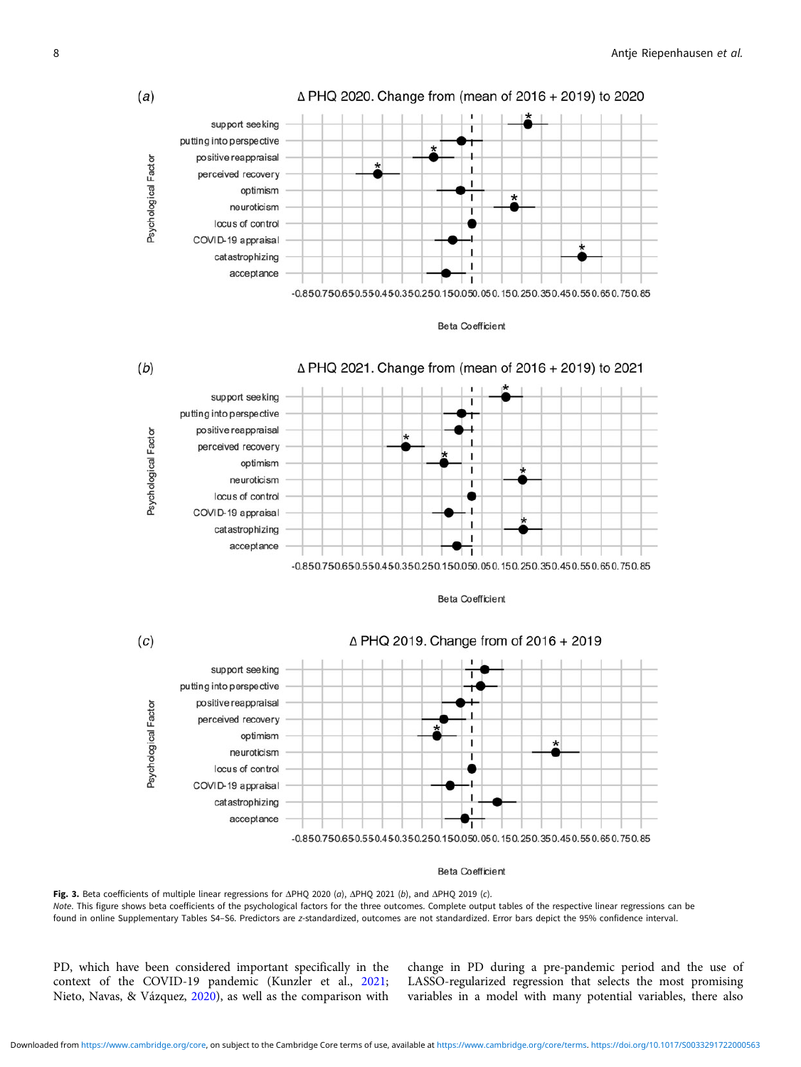<span id="page-7-0"></span>



#### **Beta Coefficient**

Fig. 3. Beta coefficients of multiple linear regressions for ΔPHQ 2020 (a), ΔPHQ 2021 (b), and ΔPHQ 2019 (c). Note. This figure shows beta coefficients of the psychological factors for the three outcomes. Complete output tables of the respective linear regressions can be found in online Supplementary Tables S4–S6. Predictors are z-standardized, outcomes are not standardized. Error bars depict the 95% confidence interval.

PD, which have been considered important specifically in the context of the COVID-19 pandemic (Kunzler et al., [2021](#page-9-0); Nieto, Navas, & Vázquez, [2020\)](#page-10-0), as well as the comparison with

change in PD during a pre-pandemic period and the use of LASSO-regularized regression that selects the most promising variables in a model with many potential variables, there also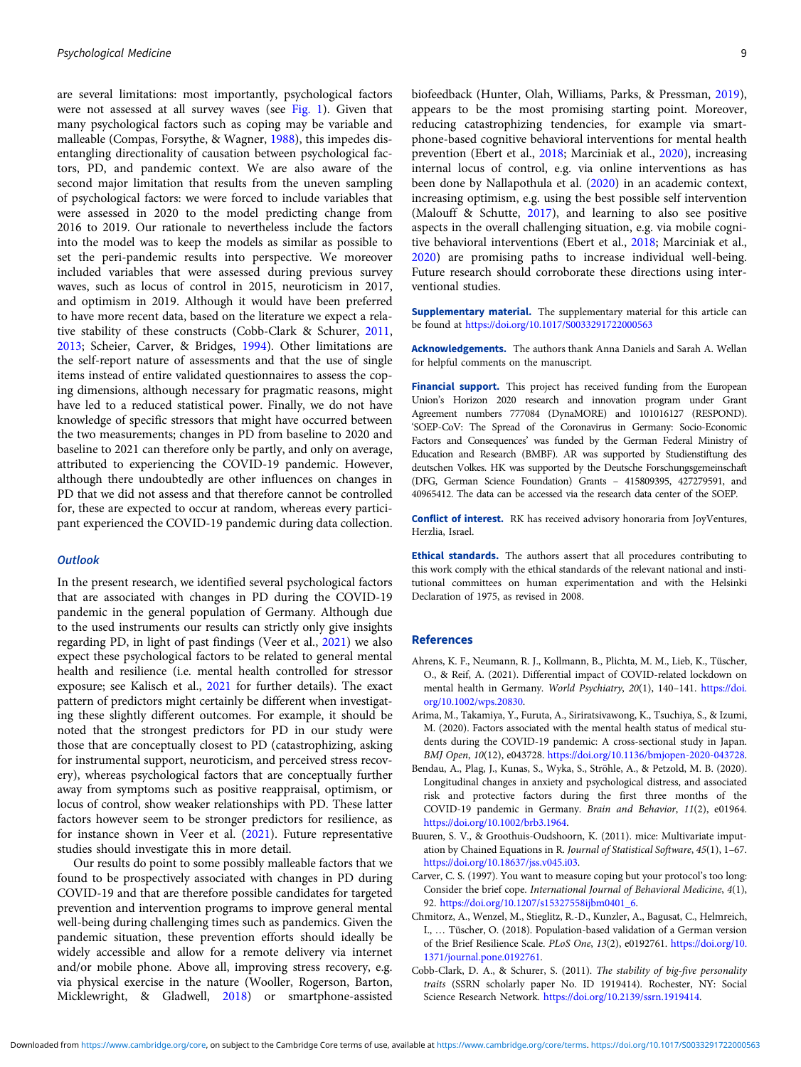<span id="page-8-0"></span>are several limitations: most importantly, psychological factors were not assessed at all survey waves (see [Fig. 1](#page-4-0)). Given that many psychological factors such as coping may be variable and malleable (Compas, Forsythe, & Wagner, [1988](#page-9-0)), this impedes disentangling directionality of causation between psychological factors, PD, and pandemic context. We are also aware of the second major limitation that results from the uneven sampling of psychological factors: we were forced to include variables that were assessed in 2020 to the model predicting change from 2016 to 2019. Our rationale to nevertheless include the factors into the model was to keep the models as similar as possible to set the peri-pandemic results into perspective. We moreover included variables that were assessed during previous survey waves, such as locus of control in 2015, neuroticism in 2017, and optimism in 2019. Although it would have been preferred to have more recent data, based on the literature we expect a relative stability of these constructs (Cobb-Clark & Schurer, 2011, [2013;](#page-9-0) Scheier, Carver, & Bridges, [1994](#page-10-0)). Other limitations are the self-report nature of assessments and that the use of single items instead of entire validated questionnaires to assess the coping dimensions, although necessary for pragmatic reasons, might have led to a reduced statistical power. Finally, we do not have knowledge of specific stressors that might have occurred between the two measurements; changes in PD from baseline to 2020 and baseline to 2021 can therefore only be partly, and only on average, attributed to experiencing the COVID-19 pandemic. However, although there undoubtedly are other influences on changes in PD that we did not assess and that therefore cannot be controlled for, these are expected to occur at random, whereas every participant experienced the COVID-19 pandemic during data collection.

## **Outlook**

In the present research, we identified several psychological factors that are associated with changes in PD during the COVID-19 pandemic in the general population of Germany. Although due to the used instruments our results can strictly only give insights regarding PD, in light of past findings (Veer et al., [2021\)](#page-10-0) we also expect these psychological factors to be related to general mental health and resilience (i.e. mental health controlled for stressor exposure; see Kalisch et al., [2021](#page-9-0) for further details). The exact pattern of predictors might certainly be different when investigating these slightly different outcomes. For example, it should be noted that the strongest predictors for PD in our study were those that are conceptually closest to PD (catastrophizing, asking for instrumental support, neuroticism, and perceived stress recovery), whereas psychological factors that are conceptually further away from symptoms such as positive reappraisal, optimism, or locus of control, show weaker relationships with PD. These latter factors however seem to be stronger predictors for resilience, as for instance shown in Veer et al. ([2021](#page-10-0)). Future representative studies should investigate this in more detail.

Our results do point to some possibly malleable factors that we found to be prospectively associated with changes in PD during COVID-19 and that are therefore possible candidates for targeted prevention and intervention programs to improve general mental well-being during challenging times such as pandemics. Given the pandemic situation, these prevention efforts should ideally be widely accessible and allow for a remote delivery via internet and/or mobile phone. Above all, improving stress recovery, e.g. via physical exercise in the nature (Wooller, Rogerson, Barton, Micklewright, & Gladwell, [2018\)](#page-10-0) or smartphone-assisted

biofeedback (Hunter, Olah, Williams, Parks, & Pressman, [2019](#page-9-0)), appears to be the most promising starting point. Moreover, reducing catastrophizing tendencies, for example via smartphone-based cognitive behavioral interventions for mental health prevention (Ebert et al., [2018](#page-9-0); Marciniak et al., [2020\)](#page-10-0), increasing internal locus of control, e.g. via online interventions as has been done by Nallapothula et al. [\(2020](#page-10-0)) in an academic context, increasing optimism, e.g. using the best possible self intervention (Malouff & Schutte, [2017\)](#page-10-0), and learning to also see positive aspects in the overall challenging situation, e.g. via mobile cognitive behavioral interventions (Ebert et al., [2018;](#page-9-0) Marciniak et al., [2020](#page-10-0)) are promising paths to increase individual well-being. Future research should corroborate these directions using interventional studies.

Supplementary material. The supplementary material for this article can be found at <https://doi.org/10.1017/S0033291722000563>

Acknowledgements. The authors thank Anna Daniels and Sarah A. Wellan for helpful comments on the manuscript.

Financial support. This project has received funding from the European Union's Horizon 2020 research and innovation program under Grant Agreement numbers 777084 (DynaMORE) and 101016127 (RESPOND). 'SOEP-CoV: The Spread of the Coronavirus in Germany: Socio-Economic Factors and Consequences' was funded by the German Federal Ministry of Education and Research (BMBF). AR was supported by Studienstiftung des deutschen Volkes. HK was supported by the Deutsche Forschungsgemeinschaft (DFG, German Science Foundation) Grants – 415809395, 427279591, and 40965412. The data can be accessed via the research data center of the SOEP.

Conflict of interest. RK has received advisory honoraria from JoyVentures, Herzlia, Israel.

Ethical standards. The authors assert that all procedures contributing to this work comply with the ethical standards of the relevant national and institutional committees on human experimentation and with the Helsinki Declaration of 1975, as revised in 2008.

#### References

- Ahrens, K. F., Neumann, R. J., Kollmann, B., Plichta, M. M., Lieb, K., Tüscher, O., & Reif, A. (2021). Differential impact of COVID-related lockdown on mental health in Germany. World Psychiatry, 20(1), 140–141. [https://doi.](https://doi.org/10.1002/wps.20830) [org/10.1002/wps.20830.](https://doi.org/10.1002/wps.20830)
- Arima, M., Takamiya, Y., Furuta, A., Siriratsivawong, K., Tsuchiya, S., & Izumi, M. (2020). Factors associated with the mental health status of medical students during the COVID-19 pandemic: A cross-sectional study in Japan. BMJ Open, 10(12), e043728. [https://doi.org/10.1136/bmjopen-2020-043728.](https://doi.org/10.1136/bmjopen-2020-043728)
- Bendau, A., Plag, J., Kunas, S., Wyka, S., Ströhle, A., & Petzold, M. B. (2020). Longitudinal changes in anxiety and psychological distress, and associated risk and protective factors during the first three months of the COVID-19 pandemic in Germany. Brain and Behavior, 11(2), e01964. <https://doi.org/10.1002/brb3.1964>.
- Buuren, S. V., & Groothuis-Oudshoorn, K. (2011). mice: Multivariate imputation by Chained Equations in R. Journal of Statistical Software, 45(1), 1–67. [https://doi.org/10.18637/jss.v045.i03.](https://doi.org/10.18637/jss.v045.i03)
- Carver, C. S. (1997). You want to measure coping but your protocol's too long: Consider the brief cope. International Journal of Behavioral Medicine, 4(1), 92. [https://doi.org/10.1207/s15327558ijbm0401\\_6.](https://doi.org/10.1207/s15327558ijbm0401_6)
- Chmitorz, A., Wenzel, M., Stieglitz, R.-D., Kunzler, A., Bagusat, C., Helmreich, I., … Tüscher, O. (2018). Population-based validation of a German version of the Brief Resilience Scale. PLoS One, 13(2), e0192761. [https://doi.org/10.](https://doi.org/10.1371/journal.pone.0192761) [1371/journal.pone.0192761.](https://doi.org/10.1371/journal.pone.0192761)
- Cobb-Clark, D. A., & Schurer, S. (2011). The stability of big-five personality traits (SSRN scholarly paper No. ID 1919414). Rochester, NY: Social Science Research Network. <https://doi.org/10.2139/ssrn.1919414>.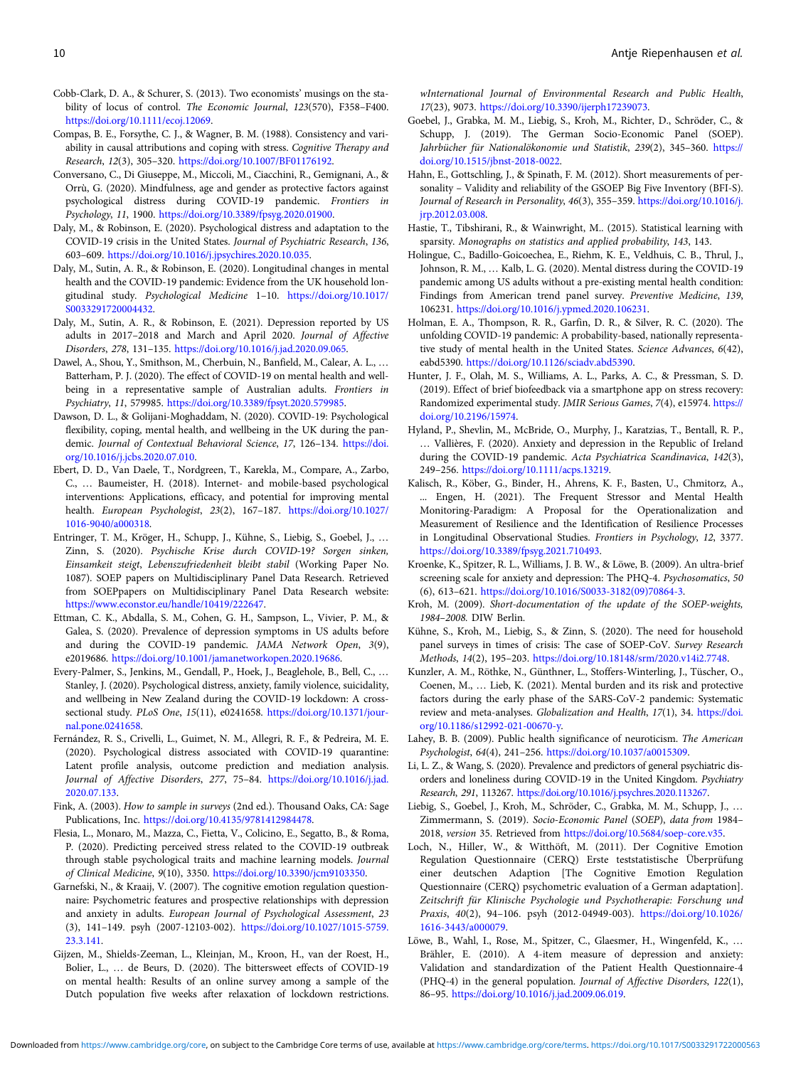- <span id="page-9-0"></span>Cobb-Clark, D. A., & Schurer, S. (2013). Two economists' musings on the stability of locus of control. The Economic Journal, 123(570), F358–F400. [https://doi.org/10.1111/ecoj.12069.](https://doi.org/10.1111/ecoj.12069)
- Compas, B. E., Forsythe, C. J., & Wagner, B. M. (1988). Consistency and variability in causal attributions and coping with stress. Cognitive Therapy and Research, 12(3), 305–320. [https://doi.org/10.1007/BF01176192.](https://doi.org/10.1007/BF01176192)
- Conversano, C., Di Giuseppe, M., Miccoli, M., Ciacchini, R., Gemignani, A., & Orrù, G. (2020). Mindfulness, age and gender as protective factors against psychological distress during COVID-19 pandemic. Frontiers in Psychology, 11, 1900. <https://doi.org/10.3389/fpsyg.2020.01900>.
- Daly, M., & Robinson, E. (2020). Psychological distress and adaptation to the COVID-19 crisis in the United States. Journal of Psychiatric Research, 136, 603–609. [https://doi.org/10.1016/j.jpsychires.2020.10.035.](https://doi.org/10.1016/j.jpsychires.2020.10.035)
- Daly, M., Sutin, A. R., & Robinson, E. (2020). Longitudinal changes in mental health and the COVID-19 pandemic: Evidence from the UK household longitudinal study. Psychological Medicine 1–10. [https://doi.org/10.1017/](https://doi.org/10.1017/S0033291720004432) [S0033291720004432.](https://doi.org/10.1017/S0033291720004432)
- Daly, M., Sutin, A. R., & Robinson, E. (2021). Depression reported by US adults in 2017–2018 and March and April 2020. Journal of Affective Disorders, 278, 131–135. <https://doi.org/10.1016/j.jad.2020.09.065>.
- Dawel, A., Shou, Y., Smithson, M., Cherbuin, N., Banfield, M., Calear, A. L., … Batterham, P. J. (2020). The effect of COVID-19 on mental health and wellbeing in a representative sample of Australian adults. Frontiers in Psychiatry, 11, 579985. [https://doi.org/10.3389/fpsyt.2020.579985.](https://doi.org/10.3389/fpsyt.2020.579985)
- Dawson, D. L., & Golijani-Moghaddam, N. (2020). COVID-19: Psychological flexibility, coping, mental health, and wellbeing in the UK during the pandemic. Journal of Contextual Behavioral Science, 17, 126–134. [https://doi.](https://doi.org/10.1016/j.jcbs.2020.07.010) [org/10.1016/j.jcbs.2020.07.010.](https://doi.org/10.1016/j.jcbs.2020.07.010)
- Ebert, D. D., Van Daele, T., Nordgreen, T., Karekla, M., Compare, A., Zarbo, C., … Baumeister, H. (2018). Internet- and mobile-based psychological interventions: Applications, efficacy, and potential for improving mental health. European Psychologist, 23(2), 167–187. [https://doi.org/10.1027/](https://doi.org/10.1027/1016-9040/a000318) [1016-9040/a000318](https://doi.org/10.1027/1016-9040/a000318).
- Entringer, T. M., Kröger, H., Schupp, J., Kühne, S., Liebig, S., Goebel, J., … Zinn, S. (2020). Psychische Krise durch COVID-19? Sorgen sinken, Einsamkeit steigt, Lebenszufriedenheit bleibt stabil (Working Paper No. 1087). SOEP papers on Multidisciplinary Panel Data Research. Retrieved from SOEPpapers on Multidisciplinary Panel Data Research website: <https://www.econstor.eu/handle/10419/222647>.
- Ettman, C. K., Abdalla, S. M., Cohen, G. H., Sampson, L., Vivier, P. M., & Galea, S. (2020). Prevalence of depression symptoms in US adults before and during the COVID-19 pandemic. JAMA Network Open, 3(9), e2019686. [https://doi.org/10.1001/jamanetworkopen.2020.19686.](https://doi.org/10.1001/jamanetworkopen.2020.19686)
- Every-Palmer, S., Jenkins, M., Gendall, P., Hoek, J., Beaglehole, B., Bell, C., … Stanley, J. (2020). Psychological distress, anxiety, family violence, suicidality, and wellbeing in New Zealand during the COVID-19 lockdown: A crosssectional study. PLoS One, 15(11), e0241658. [https://doi.org/10.1371/jour](https://doi.org/10.1371/journal.pone.0241658)[nal.pone.0241658](https://doi.org/10.1371/journal.pone.0241658).
- Fernández, R. S., Crivelli, L., Guimet, N. M., Allegri, R. F., & Pedreira, M. E. (2020). Psychological distress associated with COVID-19 quarantine: Latent profile analysis, outcome prediction and mediation analysis. Journal of Affective Disorders, 277, 75–84. [https://doi.org/10.1016/j.jad.](https://doi.org/10.1016/j.jad.2020.07.133) [2020.07.133.](https://doi.org/10.1016/j.jad.2020.07.133)
- Fink, A. (2003). How to sample in surveys (2nd ed.). Thousand Oaks, CA: Sage Publications, Inc. [https://doi.org/10.4135/9781412984478.](https://doi.org/10.4135/9781412984478)
- Flesia, L., Monaro, M., Mazza, C., Fietta, V., Colicino, E., Segatto, B., & Roma, P. (2020). Predicting perceived stress related to the COVID-19 outbreak through stable psychological traits and machine learning models. Journal of Clinical Medicine, 9(10), 3350. <https://doi.org/10.3390/jcm9103350>.
- Garnefski, N., & Kraaij, V. (2007). The cognitive emotion regulation questionnaire: Psychometric features and prospective relationships with depression and anxiety in adults. European Journal of Psychological Assessment, 23 (3), 141–149. psyh (2007-12103-002). [https://doi.org/10.1027/1015-5759.](https://doi.org/10.1027/1015-5759.23.3.141) [23.3.141](https://doi.org/10.1027/1015-5759.23.3.141).
- Gijzen, M., Shields-Zeeman, L., Kleinjan, M., Kroon, H., van der Roest, H., Bolier, L., … de Beurs, D. (2020). The bittersweet effects of COVID-19 on mental health: Results of an online survey among a sample of the Dutch population five weeks after relaxation of lockdown restrictions.

wInternational Journal of Environmental Research and Public Health, 17(23), 9073. [https://doi.org/10.3390/ijerph17239073.](https://doi.org/10.3390/ijerph17239073)

- Goebel, J., Grabka, M. M., Liebig, S., Kroh, M., Richter, D., Schröder, C., & Schupp, J. (2019). The German Socio-Economic Panel (SOEP). Jahrbücher für Nationalökonomie und Statistik, 239(2), 345-360. [https://](https://doi.org/10.1515/jbnst-2018-0022) [doi.org/10.1515/jbnst-2018-0022](https://doi.org/10.1515/jbnst-2018-0022).
- Hahn, E., Gottschling, J., & Spinath, F. M. (2012). Short measurements of personality – Validity and reliability of the GSOEP Big Five Inventory (BFI-S). Journal of Research in Personality, 46(3), 355–359. [https://doi.org/10.1016/j.](https://doi.org/10.1016/j.jrp.2012.03.008) [jrp.2012.03.008.](https://doi.org/10.1016/j.jrp.2012.03.008)
- Hastie, T., Tibshirani, R., & Wainwright, M.. (2015). Statistical learning with sparsity. Monographs on statistics and applied probability, 143, 143.
- Holingue, C., Badillo-Goicoechea, E., Riehm, K. E., Veldhuis, C. B., Thrul, J., Johnson, R. M., … Kalb, L. G. (2020). Mental distress during the COVID-19 pandemic among US adults without a pre-existing mental health condition: Findings from American trend panel survey. Preventive Medicine, 139, 106231. <https://doi.org/10.1016/j.ypmed.2020.106231>.
- Holman, E. A., Thompson, R. R., Garfin, D. R., & Silver, R. C. (2020). The unfolding COVID-19 pandemic: A probability-based, nationally representative study of mental health in the United States. Science Advances, 6(42), eabd5390. [https://doi.org/10.1126/sciadv.abd5390.](https://doi.org/10.1126/sciadv.abd5390)
- Hunter, J. F., Olah, M. S., Williams, A. L., Parks, A. C., & Pressman, S. D. (2019). Effect of brief biofeedback via a smartphone app on stress recovery: Randomized experimental study. JMIR Serious Games, 7(4), e15974. [https://](https://doi.org/10.2196/15974) [doi.org/10.2196/15974.](https://doi.org/10.2196/15974)
- Hyland, P., Shevlin, M., McBride, O., Murphy, J., Karatzias, T., Bentall, R. P., … Vallières, F. (2020). Anxiety and depression in the Republic of Ireland during the COVID-19 pandemic. Acta Psychiatrica Scandinavica, 142(3), 249–256. [https://doi.org/10.1111/acps.13219.](https://doi.org/10.1111/acps.13219)
- Kalisch, R., Köber, G., Binder, H., Ahrens, K. F., Basten, U., Chmitorz, A., ... Engen, H. (2021). The Frequent Stressor and Mental Health Monitoring-Paradigm: A Proposal for the Operationalization and Measurement of Resilience and the Identification of Resilience Processes in Longitudinal Observational Studies. Frontiers in Psychology, 12, 3377. [https://doi.org/10.3389/fpsyg.2021.710493.](https://doi.org/10.3389/fpsyg.2021.710493)
- Kroenke, K., Spitzer, R. L., Williams, J. B. W., & Löwe, B. (2009). An ultra-brief screening scale for anxiety and depression: The PHQ-4. Psychosomatics, 50 (6), 613–621. [https://doi.org/10.1016/S0033-3182\(09\)70864-3.](https://doi.org/10.1016/S0033-3182(09)70864-3)
- Kroh, M. (2009). Short-documentation of the update of the SOEP-weights, 1984–2008. DIW Berlin.
- Kühne, S., Kroh, M., Liebig, S., & Zinn, S. (2020). The need for household panel surveys in times of crisis: The case of SOEP-CoV. Survey Research Methods, 14(2), 195–203. [https://doi.org/10.18148/srm/2020.v14i2.7748.](https://doi.org/10.18148/srm/2020.v14i2.7748)
- Kunzler, A. M., Röthke, N., Günthner, L., Stoffers-Winterling, J., Tüscher, O., Coenen, M., … Lieb, K. (2021). Mental burden and its risk and protective factors during the early phase of the SARS-CoV-2 pandemic: Systematic review and meta-analyses. Globalization and Health, 17(1), 34. [https://doi.](https://doi.org/10.1186/s12992-021-00670-y) [org/10.1186/s12992-021-00670-y](https://doi.org/10.1186/s12992-021-00670-y).
- Lahey, B. B. (2009). Public health significance of neuroticism. The American Psychologist, 64(4), 241–256. <https://doi.org/10.1037/a0015309>.
- Li, L. Z., & Wang, S. (2020). Prevalence and predictors of general psychiatric disorders and loneliness during COVID-19 in the United Kingdom. Psychiatry Research, 291, 113267. <https://doi.org/10.1016/j.psychres.2020.113267>.
- Liebig, S., Goebel, J., Kroh, M., Schröder, C., Grabka, M. M., Schupp, J., … Zimmermann, S. (2019). Socio-Economic Panel (SOEP), data from 1984– 2018, version 35. Retrieved from [https://doi.org/10.5684/soep-core.v35.](https://doi.org/10.5684/soep-core.v35)
- Loch, N., Hiller, W., & Witthöft, M. (2011). Der Cognitive Emotion Regulation Questionnaire (CERQ) Erste teststatistische Überprüfung einer deutschen Adaption [The Cognitive Emotion Regulation Questionnaire (CERQ) psychometric evaluation of a German adaptation]. Zeitschrift für Klinische Psychologie und Psychotherapie: Forschung und Praxis, 40(2), 94–106. psyh (2012-04949-003). [https://doi.org/10.1026/](https://doi.org/10.1026/1616-3443/a000079) [1616-3443/a000079](https://doi.org/10.1026/1616-3443/a000079).
- Löwe, B., Wahl, I., Rose, M., Spitzer, C., Glaesmer, H., Wingenfeld, K., … Brähler, E. (2010). A 4-item measure of depression and anxiety: Validation and standardization of the Patient Health Questionnaire-4 (PHQ-4) in the general population. Journal of Affective Disorders, 122(1), 86–95. [https://doi.org/10.1016/j.jad.2009.06.019.](https://doi.org/10.1016/j.jad.2009.06.019)